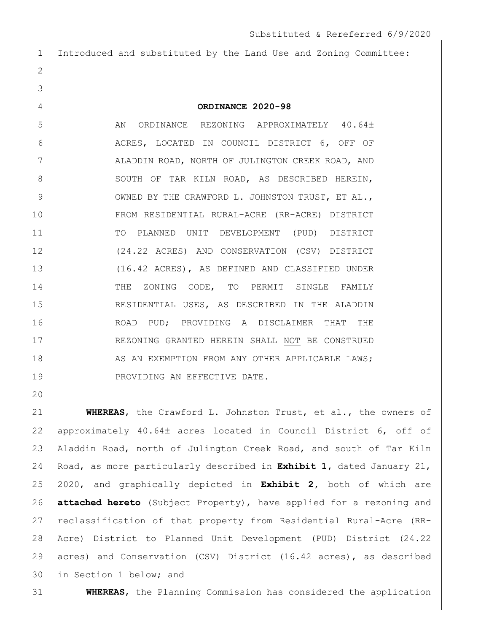Introduced and substituted by the Land Use and Zoning Committee: 

## **ORDINANCE 2020-98**

5 AN ORDINANCE REZONING APPROXIMATELY 40.64± ACRES, LOCATED IN COUNCIL DISTRICT 6, OFF OF 7 | ALADDIN ROAD, NORTH OF JULINGTON CREEK ROAD, AND 8 SOUTH OF TAR KILN ROAD, AS DESCRIBED HEREIN, 9 OWNED BY THE CRAWFORD L. JOHNSTON TRUST, ET AL., FROM RESIDENTIAL RURAL-ACRE (RR-ACRE) DISTRICT TO PLANNED UNIT DEVELOPMENT (PUD) DISTRICT (24.22 ACRES) AND CONSERVATION (CSV) DISTRICT (16.42 ACRES), AS DEFINED AND CLASSIFIED UNDER 14 THE ZONING CODE, TO PERMIT SINGLE FAMILY RESIDENTIAL USES, AS DESCRIBED IN THE ALADDIN ROAD PUD; PROVIDING A DISCLAIMER THAT THE REZONING GRANTED HEREIN SHALL NOT BE CONSTRUED 18 AS AN EXEMPTION FROM ANY OTHER APPLICABLE LAWS; 19 PROVIDING AN EFFECTIVE DATE.

 **WHEREAS**, the Crawford L. Johnston Trust, et al., the owners of 22 approximately 40.64± acres located in Council District 6, off of Aladdin Road, north of Julington Creek Road, and south of Tar Kiln Road, as more particularly described in **Exhibit 1,** dated January 21, 2020, and graphically depicted in **Exhibit 2,** both of which are **attached hereto** (Subject Property), have applied for a rezoning and reclassification of that property from Residential Rural-Acre (RR- Acre) District to Planned Unit Development (PUD) District (24.22 acres) and Conservation (CSV) District (16.42 acres), as described in Section 1 below; and

**WHEREAS**, the Planning Commission has considered the application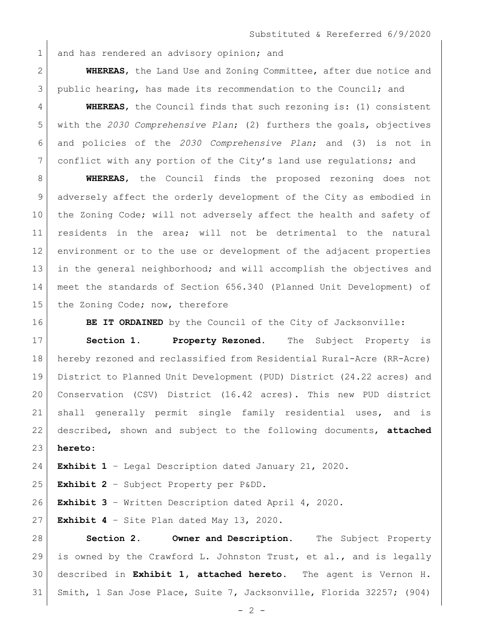1 and has rendered an advisory opinion; and

 **WHEREAS**, the Land Use and Zoning Committee, after due notice and public hearing, has made its recommendation to the Council; and

 **WHEREAS**, the Council finds that such rezoning is: (1) consistent with the *2030 Comprehensive Plan*; (2) furthers the goals, objectives and policies of the *2030 Comprehensive Plan*; and (3) is not in conflict with any portion of the City's land use regulations; and

 **WHEREAS**, the Council finds the proposed rezoning does not adversely affect the orderly development of the City as embodied in 10 the Zoning Code; will not adversely affect the health and safety of residents in the area; will not be detrimental to the natural environment or to the use or development of the adjacent properties in the general neighborhood; and will accomplish the objectives and meet the standards of Section 656.340 (Planned Unit Development) of 15 the Zoning Code; now, therefore

**BE IT ORDAINED** by the Council of the City of Jacksonville:

 **Section 1. Property Rezoned.** The Subject Property is hereby rezoned and reclassified from Residential Rural-Acre (RR-Acre) District to Planned Unit Development (PUD) District (24.22 acres) and Conservation (CSV) District (16.42 acres). This new PUD district shall generally permit single family residential uses, and is described, shown and subject to the following documents, **attached hereto**:

**Exhibit 1** – Legal Description dated January 21, 2020.

**Exhibit 2** – Subject Property per P&DD.

**Exhibit 3** – Written Description dated April 4, 2020.

**Exhibit 4** – Site Plan dated May 13, 2020.

 **Section 2. Owner and Description.** The Subject Property 29 is owned by the Crawford L. Johnston Trust, et al., and is legally described in **Exhibit 1, attached hereto**. The agent is Vernon H. Smith, 1 San Jose Place, Suite 7, Jacksonville, Florida 32257; (904)

 $- 2 -$